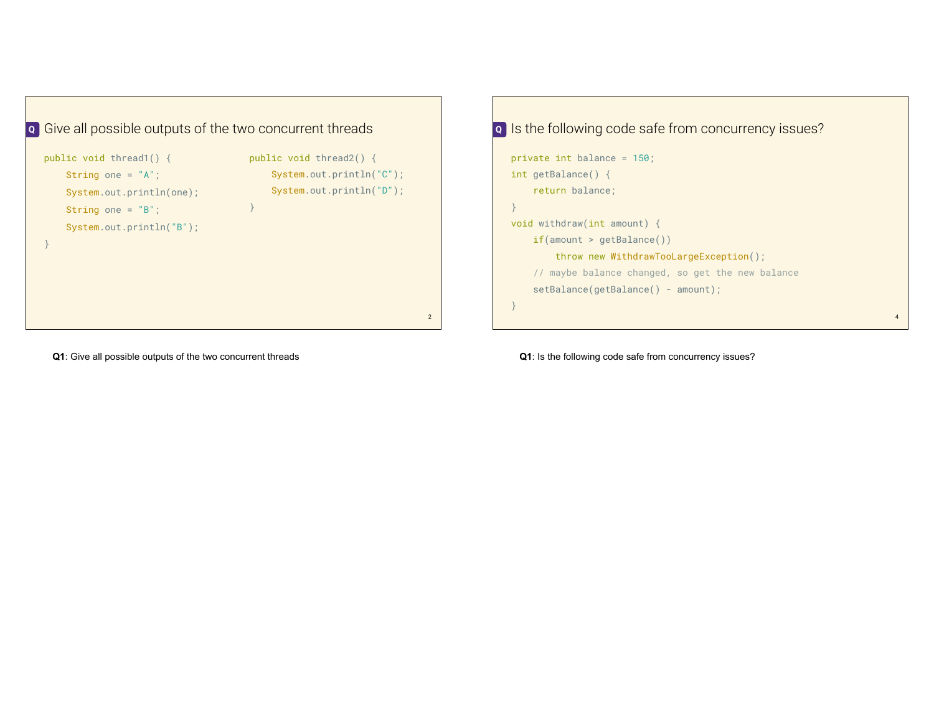



**Q1**: Give all possible outputs of the two concurrent threads

**Q1**: Is the following code safe from concurrency issues?